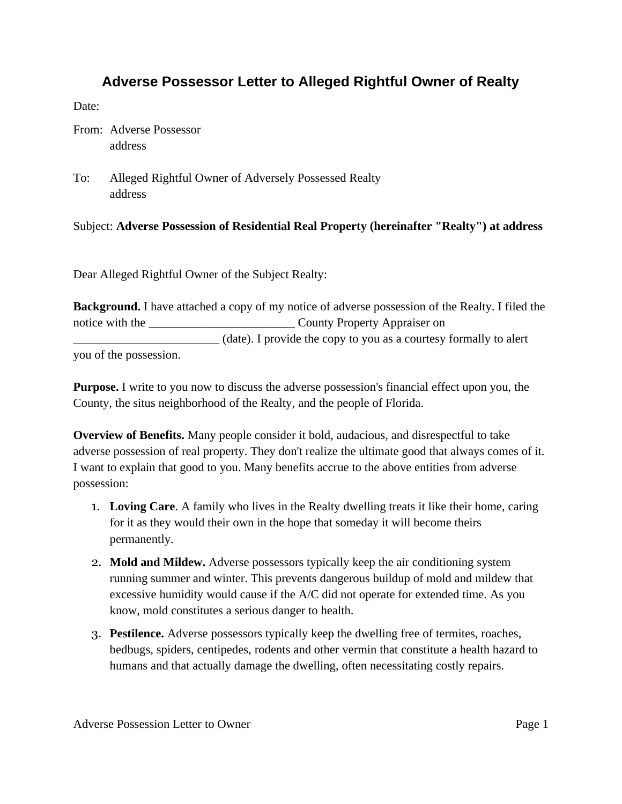### **Adverse Possessor Letter to Alleged Rightful Owner of Realty**

Date:

From: Adverse Possessor address

To: Alleged Rightful Owner of Adversely Possessed Realty address

Subject: **Adverse Possession of Residential Real Property (hereinafter "Realty") at address**

Dear Alleged Rightful Owner of the Subject Realty:

**Background.** I have attached a copy of my notice of adverse possession of the Realty. I filed the notice with the \_\_\_\_\_\_\_\_\_\_\_\_\_\_\_\_\_\_\_\_\_\_\_\_ County Property Appraiser on \_\_\_\_\_\_\_\_\_\_\_\_\_\_\_\_\_\_\_\_\_\_\_\_ (date). I provide the copy to you as a courtesy formally to alert you of the possession.

**Purpose.** I write to you now to discuss the adverse possession's financial effect upon you, the County, the situs neighborhood of the Realty, and the people of Florida.

**Overview of Benefits.** Many people consider it bold, audacious, and disrespectful to take adverse possession of real property. They don't realize the ultimate good that always comes of it. I want to explain that good to you. Many benefits accrue to the above entities from adverse possession:

- 1. **Loving Care**. A family who lives in the Realty dwelling treats it like their home, caring for it as they would their own in the hope that someday it will become theirs permanently.
- 2. **Mold and Mildew.** Adverse possessors typically keep the air conditioning system running summer and winter. This prevents dangerous buildup of mold and mildew that excessive humidity would cause if the A/C did not operate for extended time. As you know, mold constitutes a serious danger to health.
- 3. **Pestilence.** Adverse possessors typically keep the dwelling free of termites, roaches, bedbugs, spiders, centipedes, rodents and other vermin that constitute a health hazard to humans and that actually damage the dwelling, often necessitating costly repairs.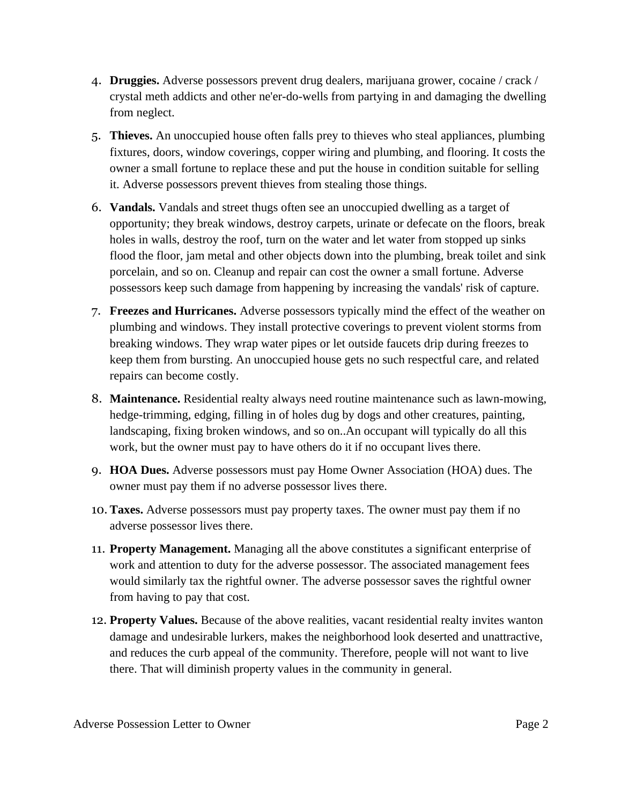- 4. **Druggies.** Adverse possessors prevent drug dealers, marijuana grower, cocaine / crack / crystal meth addicts and other ne'er-do-wells from partying in and damaging the dwelling from neglect.
- 5. **Thieves.** An unoccupied house often falls prey to thieves who steal appliances, plumbing fixtures, doors, window coverings, copper wiring and plumbing, and flooring. It costs the owner a small fortune to replace these and put the house in condition suitable for selling it. Adverse possessors prevent thieves from stealing those things.
- 6. **Vandals.** Vandals and street thugs often see an unoccupied dwelling as a target of opportunity; they break windows, destroy carpets, urinate or defecate on the floors, break holes in walls, destroy the roof, turn on the water and let water from stopped up sinks flood the floor, jam metal and other objects down into the plumbing, break toilet and sink porcelain, and so on. Cleanup and repair can cost the owner a small fortune. Adverse possessors keep such damage from happening by increasing the vandals' risk of capture.
- 7. **Freezes and Hurricanes.** Adverse possessors typically mind the effect of the weather on plumbing and windows. They install protective coverings to prevent violent storms from breaking windows. They wrap water pipes or let outside faucets drip during freezes to keep them from bursting. An unoccupied house gets no such respectful care, and related repairs can become costly.
- 8. **Maintenance.** Residential realty always need routine maintenance such as lawn-mowing, hedge-trimming, edging, filling in of holes dug by dogs and other creatures, painting, landscaping, fixing broken windows, and so on..An occupant will typically do all this work, but the owner must pay to have others do it if no occupant lives there.
- 9. **HOA Dues.** Adverse possessors must pay Home Owner Association (HOA) dues. The owner must pay them if no adverse possessor lives there.
- 10. **Taxes.** Adverse possessors must pay property taxes. The owner must pay them if no adverse possessor lives there.
- 11. **Property Management.** Managing all the above constitutes a significant enterprise of work and attention to duty for the adverse possessor. The associated management fees would similarly tax the rightful owner. The adverse possessor saves the rightful owner from having to pay that cost.
- 12. **Property Values.** Because of the above realities, vacant residential realty invites wanton damage and undesirable lurkers, makes the neighborhood look deserted and unattractive, and reduces the curb appeal of the community. Therefore, people will not want to live there. That will diminish property values in the community in general.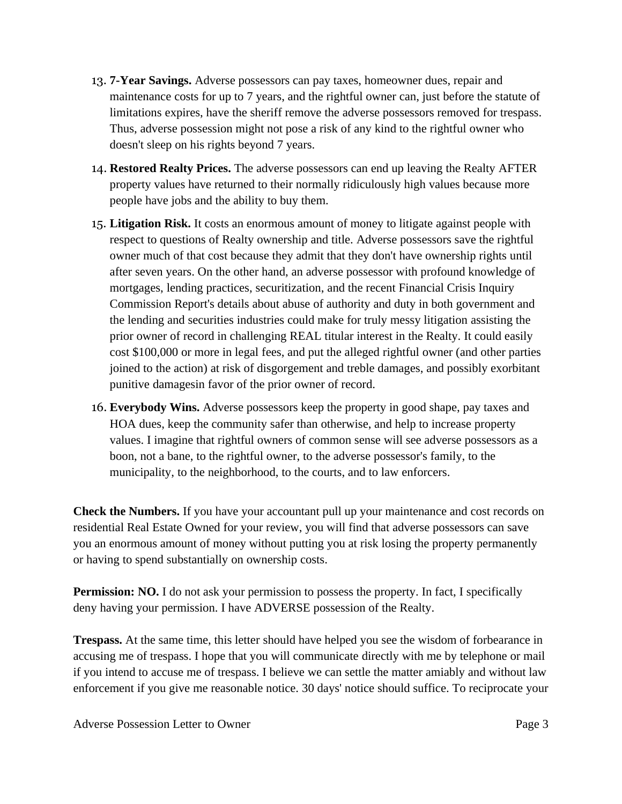- 13. **7-Year Savings.** Adverse possessors can pay taxes, homeowner dues, repair and maintenance costs for up to 7 years, and the rightful owner can, just before the statute of limitations expires, have the sheriff remove the adverse possessors removed for trespass. Thus, adverse possession might not pose a risk of any kind to the rightful owner who doesn't sleep on his rights beyond 7 years.
- 14. **Restored Realty Prices.** The adverse possessors can end up leaving the Realty AFTER property values have returned to their normally ridiculously high values because more people have jobs and the ability to buy them.
- 15. **Litigation Risk.** It costs an enormous amount of money to litigate against people with respect to questions of Realty ownership and title. Adverse possessors save the rightful owner much of that cost because they admit that they don't have ownership rights until after seven years. On the other hand, an adverse possessor with profound knowledge of mortgages, lending practices, securitization, and the recent Financial Crisis Inquiry Commission Report's details about abuse of authority and duty in both government and the lending and securities industries could make for truly messy litigation assisting the prior owner of record in challenging REAL titular interest in the Realty. It could easily cost \$100,000 or more in legal fees, and put the alleged rightful owner (and other parties joined to the action) at risk of disgorgement and treble damages, and possibly exorbitant punitive damagesin favor of the prior owner of record.
- 16. **Everybody Wins.** Adverse possessors keep the property in good shape, pay taxes and HOA dues, keep the community safer than otherwise, and help to increase property values. I imagine that rightful owners of common sense will see adverse possessors as a boon, not a bane, to the rightful owner, to the adverse possessor's family, to the municipality, to the neighborhood, to the courts, and to law enforcers.

**Check the Numbers.** If you have your accountant pull up your maintenance and cost records on residential Real Estate Owned for your review, you will find that adverse possessors can save you an enormous amount of money without putting you at risk losing the property permanently or having to spend substantially on ownership costs.

**Permission: NO.** I do not ask your permission to possess the property. In fact, I specifically deny having your permission. I have ADVERSE possession of the Realty.

**Trespass.** At the same time, this letter should have helped you see the wisdom of forbearance in accusing me of trespass. I hope that you will communicate directly with me by telephone or mail if you intend to accuse me of trespass. I believe we can settle the matter amiably and without law enforcement if you give me reasonable notice. 30 days' notice should suffice. To reciprocate your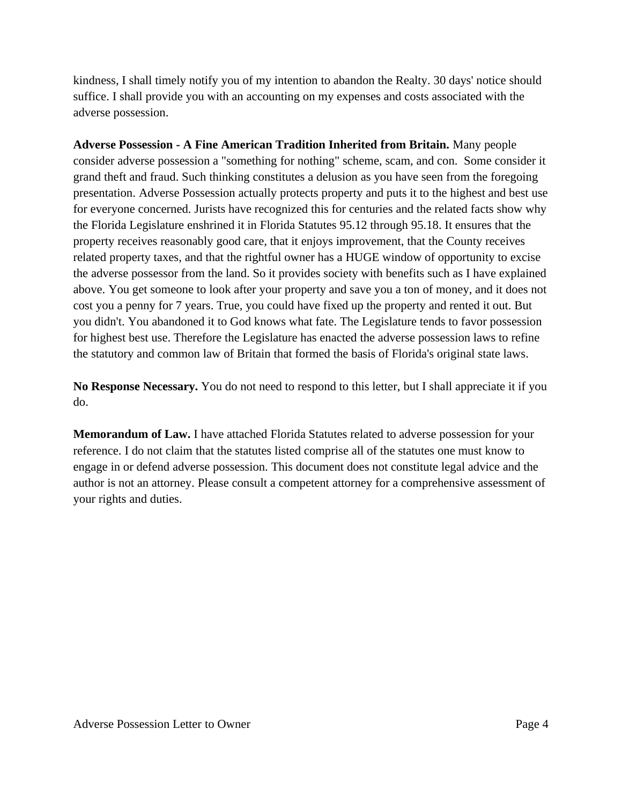kindness, I shall timely notify you of my intention to abandon the Realty. 30 days' notice should suffice. I shall provide you with an accounting on my expenses and costs associated with the adverse possession.

**Adverse Possession - A Fine American Tradition Inherited from Britain.** Many people consider adverse possession a "something for nothing" scheme, scam, and con. Some consider it grand theft and fraud. Such thinking constitutes a delusion as you have seen from the foregoing presentation. Adverse Possession actually protects property and puts it to the highest and best use for everyone concerned. Jurists have recognized this for centuries and the related facts show why the Florida Legislature enshrined it in Florida Statutes 95.12 through 95.18. It ensures that the property receives reasonably good care, that it enjoys improvement, that the County receives related property taxes, and that the rightful owner has a HUGE window of opportunity to excise the adverse possessor from the land. So it provides society with benefits such as I have explained above. You get someone to look after your property and save you a ton of money, and it does not cost you a penny for 7 years. True, you could have fixed up the property and rented it out. But you didn't. You abandoned it to God knows what fate. The Legislature tends to favor possession for highest best use. Therefore the Legislature has enacted the adverse possession laws to refine the statutory and common law of Britain that formed the basis of Florida's original state laws.

**No Response Necessary.** You do not need to respond to this letter, but I shall appreciate it if you do.

**Memorandum of Law.** I have attached Florida Statutes related to adverse possession for your reference. I do not claim that the statutes listed comprise all of the statutes one must know to engage in or defend adverse possession. This document does not constitute legal advice and the author is not an attorney. Please consult a competent attorney for a comprehensive assessment of your rights and duties.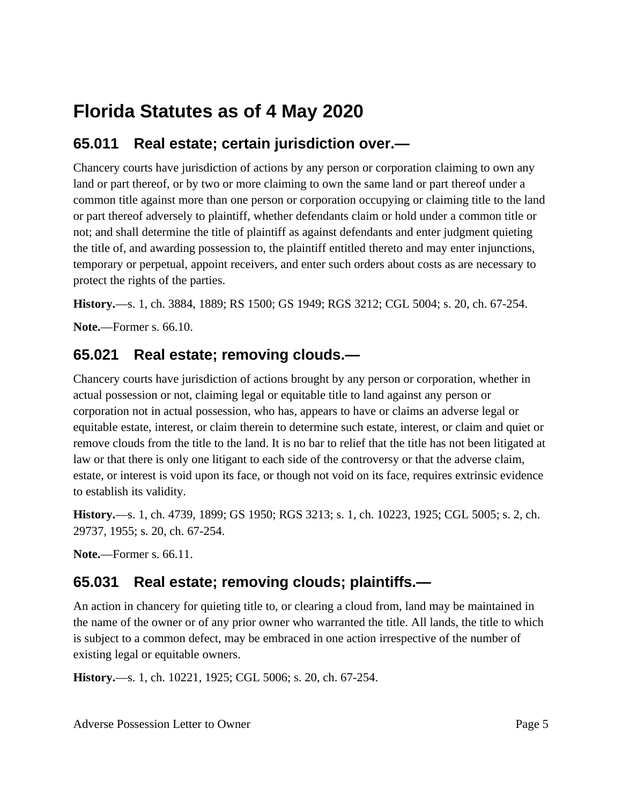# **Florida Statutes as of 4 May 2020**

# **65.011 Real estate; certain jurisdiction over.—**

Chancery courts have jurisdiction of actions by any person or corporation claiming to own any land or part thereof, or by two or more claiming to own the same land or part thereof under a common title against more than one person or corporation occupying or claiming title to the land or part thereof adversely to plaintiff, whether defendants claim or hold under a common title or not; and shall determine the title of plaintiff as against defendants and enter judgment quieting the title of, and awarding possession to, the plaintiff entitled thereto and may enter injunctions, temporary or perpetual, appoint receivers, and enter such orders about costs as are necessary to protect the rights of the parties.

**History.**—s. 1, ch. 3884, 1889; RS 1500; GS 1949; RGS 3212; CGL 5004; s. 20, ch. 67-254.

**Note.**—Former s. 66.10.

### **65.021 Real estate; removing clouds.—**

Chancery courts have jurisdiction of actions brought by any person or corporation, whether in actual possession or not, claiming legal or equitable title to land against any person or corporation not in actual possession, who has, appears to have or claims an adverse legal or equitable estate, interest, or claim therein to determine such estate, interest, or claim and quiet or remove clouds from the title to the land. It is no bar to relief that the title has not been litigated at law or that there is only one litigant to each side of the controversy or that the adverse claim, estate, or interest is void upon its face, or though not void on its face, requires extrinsic evidence to establish its validity.

**History.**—s. 1, ch. 4739, 1899; GS 1950; RGS 3213; s. 1, ch. 10223, 1925; CGL 5005; s. 2, ch. 29737, 1955; s. 20, ch. 67-254.

**Note.**—Former s. 66.11.

# **65.031 Real estate; removing clouds; plaintiffs.—**

An action in chancery for quieting title to, or clearing a cloud from, land may be maintained in the name of the owner or of any prior owner who warranted the title. All lands, the title to which is subject to a common defect, may be embraced in one action irrespective of the number of existing legal or equitable owners.

**History.**—s. 1, ch. 10221, 1925; CGL 5006; s. 20, ch. 67-254.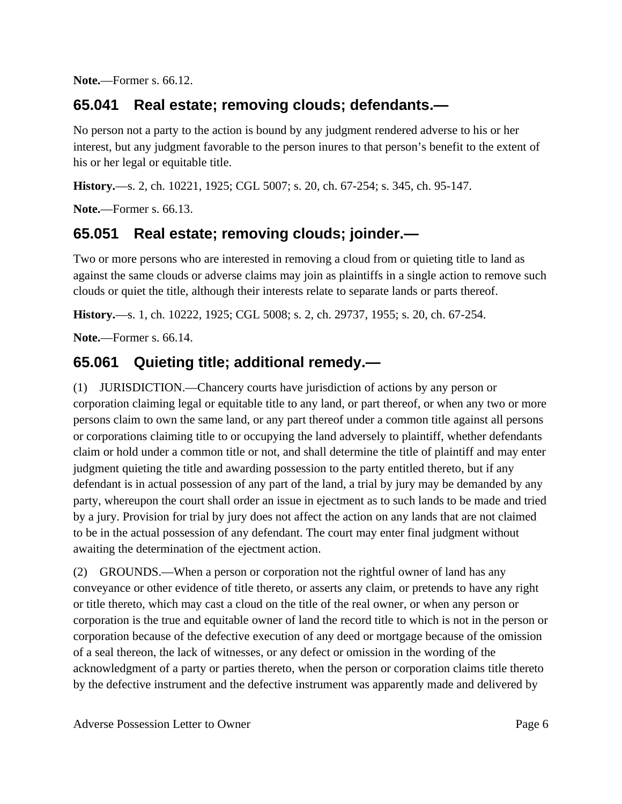**Note.**—Former s. 66.12.

### **65.041 Real estate; removing clouds; defendants.—**

No person not a party to the action is bound by any judgment rendered adverse to his or her interest, but any judgment favorable to the person inures to that person's benefit to the extent of his or her legal or equitable title.

**History.**—s. 2, ch. 10221, 1925; CGL 5007; s. 20, ch. 67-254; s. 345, ch. 95-147.

**Note.**—Former s. 66.13.

## **65.051 Real estate; removing clouds; joinder.—**

Two or more persons who are interested in removing a cloud from or quieting title to land as against the same clouds or adverse claims may join as plaintiffs in a single action to remove such clouds or quiet the title, although their interests relate to separate lands or parts thereof.

**History.**—s. 1, ch. 10222, 1925; CGL 5008; s. 2, ch. 29737, 1955; s. 20, ch. 67-254.

**Note.**—Former s. 66.14.

### **65.061 Quieting title; additional remedy.—**

(1) JURISDICTION.—Chancery courts have jurisdiction of actions by any person or corporation claiming legal or equitable title to any land, or part thereof, or when any two or more persons claim to own the same land, or any part thereof under a common title against all persons or corporations claiming title to or occupying the land adversely to plaintiff, whether defendants claim or hold under a common title or not, and shall determine the title of plaintiff and may enter judgment quieting the title and awarding possession to the party entitled thereto, but if any defendant is in actual possession of any part of the land, a trial by jury may be demanded by any party, whereupon the court shall order an issue in ejectment as to such lands to be made and tried by a jury. Provision for trial by jury does not affect the action on any lands that are not claimed to be in the actual possession of any defendant. The court may enter final judgment without awaiting the determination of the ejectment action.

(2) GROUNDS.—When a person or corporation not the rightful owner of land has any conveyance or other evidence of title thereto, or asserts any claim, or pretends to have any right or title thereto, which may cast a cloud on the title of the real owner, or when any person or corporation is the true and equitable owner of land the record title to which is not in the person or corporation because of the defective execution of any deed or mortgage because of the omission of a seal thereon, the lack of witnesses, or any defect or omission in the wording of the acknowledgment of a party or parties thereto, when the person or corporation claims title thereto by the defective instrument and the defective instrument was apparently made and delivered by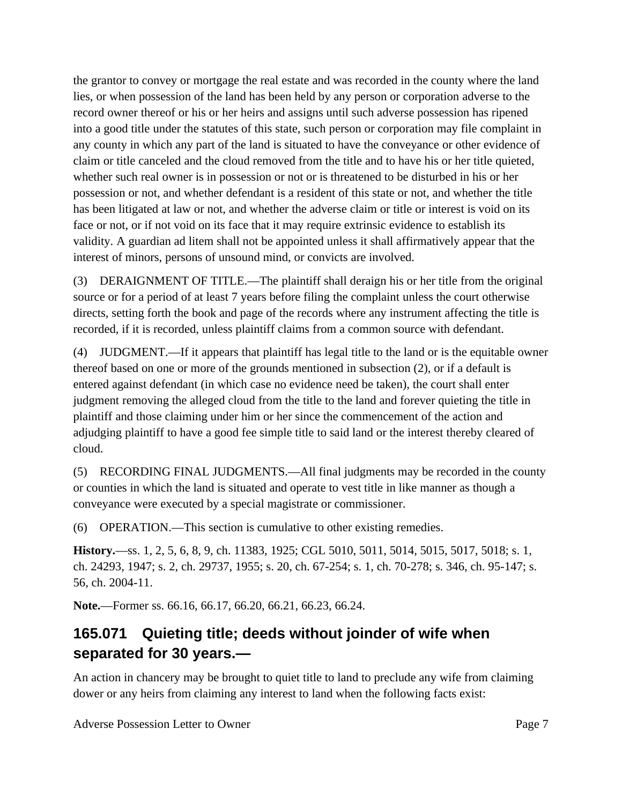the grantor to convey or mortgage the real estate and was recorded in the county where the land lies, or when possession of the land has been held by any person or corporation adverse to the record owner thereof or his or her heirs and assigns until such adverse possession has ripened into a good title under the statutes of this state, such person or corporation may file complaint in any county in which any part of the land is situated to have the conveyance or other evidence of claim or title canceled and the cloud removed from the title and to have his or her title quieted, whether such real owner is in possession or not or is threatened to be disturbed in his or her possession or not, and whether defendant is a resident of this state or not, and whether the title has been litigated at law or not, and whether the adverse claim or title or interest is void on its face or not, or if not void on its face that it may require extrinsic evidence to establish its validity. A guardian ad litem shall not be appointed unless it shall affirmatively appear that the interest of minors, persons of unsound mind, or convicts are involved.

(3) DERAIGNMENT OF TITLE.—The plaintiff shall deraign his or her title from the original source or for a period of at least 7 years before filing the complaint unless the court otherwise directs, setting forth the book and page of the records where any instrument affecting the title is recorded, if it is recorded, unless plaintiff claims from a common source with defendant.

(4) JUDGMENT.—If it appears that plaintiff has legal title to the land or is the equitable owner thereof based on one or more of the grounds mentioned in subsection (2), or if a default is entered against defendant (in which case no evidence need be taken), the court shall enter judgment removing the alleged cloud from the title to the land and forever quieting the title in plaintiff and those claiming under him or her since the commencement of the action and adjudging plaintiff to have a good fee simple title to said land or the interest thereby cleared of cloud.

(5) RECORDING FINAL JUDGMENTS.—All final judgments may be recorded in the county or counties in which the land is situated and operate to vest title in like manner as though a conveyance were executed by a special magistrate or commissioner.

(6) OPERATION.—This section is cumulative to other existing remedies.

**History.**—ss. 1, 2, 5, 6, 8, 9, ch. 11383, 1925; CGL 5010, 5011, 5014, 5015, 5017, 5018; s. 1, ch. 24293, 1947; s. 2, ch. 29737, 1955; s. 20, ch. 67-254; s. 1, ch. 70-278; s. 346, ch. 95-147; s. 56, ch. 2004-11.

**Note.**—Former ss. 66.16, 66.17, 66.20, 66.21, 66.23, 66.24.

# **165.071 Quieting title; deeds without joinder of wife when separated for 30 years.—**

An action in chancery may be brought to quiet title to land to preclude any wife from claiming dower or any heirs from claiming any interest to land when the following facts exist: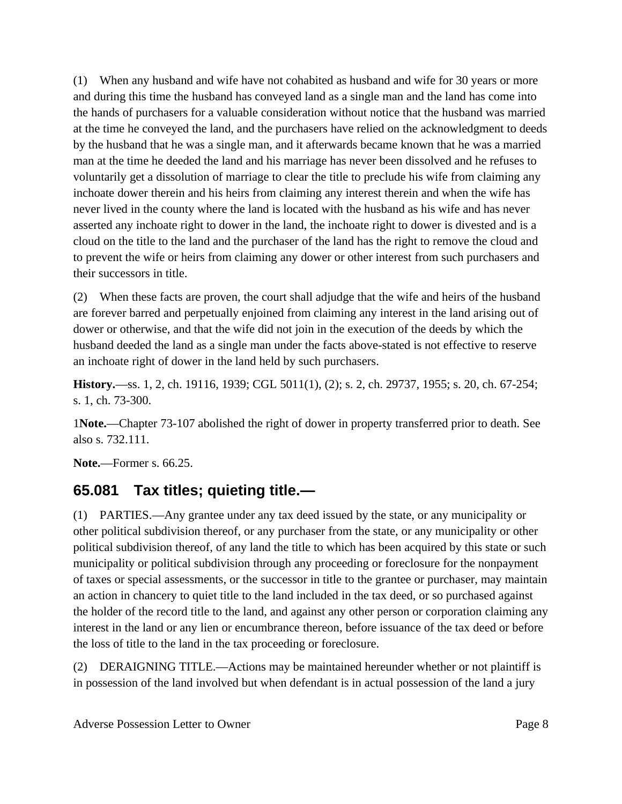(1) When any husband and wife have not cohabited as husband and wife for 30 years or more and during this time the husband has conveyed land as a single man and the land has come into the hands of purchasers for a valuable consideration without notice that the husband was married at the time he conveyed the land, and the purchasers have relied on the acknowledgment to deeds by the husband that he was a single man, and it afterwards became known that he was a married man at the time he deeded the land and his marriage has never been dissolved and he refuses to voluntarily get a dissolution of marriage to clear the title to preclude his wife from claiming any inchoate dower therein and his heirs from claiming any interest therein and when the wife has never lived in the county where the land is located with the husband as his wife and has never asserted any inchoate right to dower in the land, the inchoate right to dower is divested and is a cloud on the title to the land and the purchaser of the land has the right to remove the cloud and to prevent the wife or heirs from claiming any dower or other interest from such purchasers and their successors in title.

(2) When these facts are proven, the court shall adjudge that the wife and heirs of the husband are forever barred and perpetually enjoined from claiming any interest in the land arising out of dower or otherwise, and that the wife did not join in the execution of the deeds by which the husband deeded the land as a single man under the facts above-stated is not effective to reserve an inchoate right of dower in the land held by such purchasers.

**History.**—ss. 1, 2, ch. 19116, 1939; CGL 5011(1), (2); s. 2, ch. 29737, 1955; s. 20, ch. 67-254; s. 1, ch. 73-300.

1**Note.**—Chapter 73-107 abolished the right of dower in property transferred prior to death. See also s. 732.111.

**Note.**—Former s. 66.25.

## **65.081 Tax titles; quieting title.—**

(1) PARTIES.—Any grantee under any tax deed issued by the state, or any municipality or other political subdivision thereof, or any purchaser from the state, or any municipality or other political subdivision thereof, of any land the title to which has been acquired by this state or such municipality or political subdivision through any proceeding or foreclosure for the nonpayment of taxes or special assessments, or the successor in title to the grantee or purchaser, may maintain an action in chancery to quiet title to the land included in the tax deed, or so purchased against the holder of the record title to the land, and against any other person or corporation claiming any interest in the land or any lien or encumbrance thereon, before issuance of the tax deed or before the loss of title to the land in the tax proceeding or foreclosure.

(2) DERAIGNING TITLE.—Actions may be maintained hereunder whether or not plaintiff is in possession of the land involved but when defendant is in actual possession of the land a jury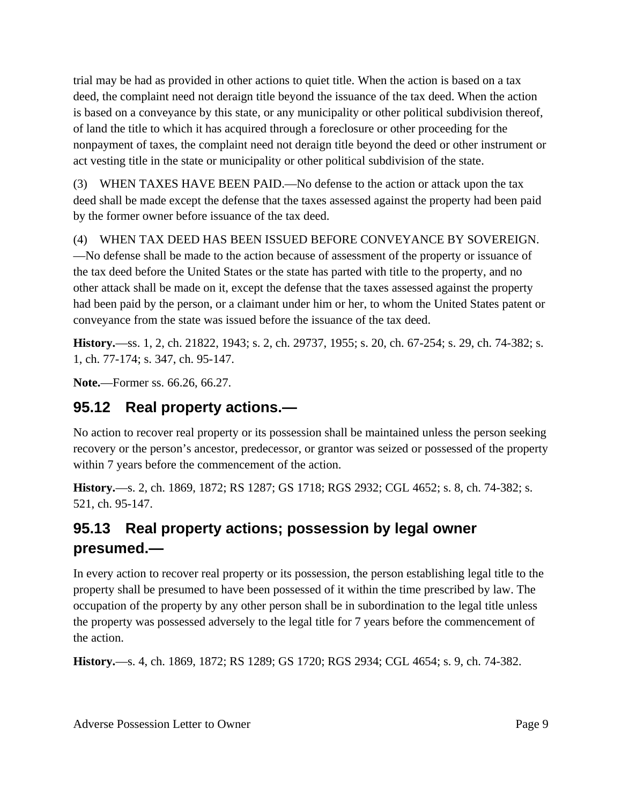trial may be had as provided in other actions to quiet title. When the action is based on a tax deed, the complaint need not deraign title beyond the issuance of the tax deed. When the action is based on a conveyance by this state, or any municipality or other political subdivision thereof, of land the title to which it has acquired through a foreclosure or other proceeding for the nonpayment of taxes, the complaint need not deraign title beyond the deed or other instrument or act vesting title in the state or municipality or other political subdivision of the state.

(3) WHEN TAXES HAVE BEEN PAID.—No defense to the action or attack upon the tax deed shall be made except the defense that the taxes assessed against the property had been paid by the former owner before issuance of the tax deed.

(4) WHEN TAX DEED HAS BEEN ISSUED BEFORE CONVEYANCE BY SOVEREIGN. —No defense shall be made to the action because of assessment of the property or issuance of the tax deed before the United States or the state has parted with title to the property, and no other attack shall be made on it, except the defense that the taxes assessed against the property had been paid by the person, or a claimant under him or her, to whom the United States patent or conveyance from the state was issued before the issuance of the tax deed.

**History.**—ss. 1, 2, ch. 21822, 1943; s. 2, ch. 29737, 1955; s. 20, ch. 67-254; s. 29, ch. 74-382; s. 1, ch. 77-174; s. 347, ch. 95-147.

**Note.**—Former ss. 66.26, 66.27.

## **95.12 Real property actions.—**

No action to recover real property or its possession shall be maintained unless the person seeking recovery or the person's ancestor, predecessor, or grantor was seized or possessed of the property within 7 years before the commencement of the action.

**History.**—s. 2, ch. 1869, 1872; RS 1287; GS 1718; RGS 2932; CGL 4652; s. 8, ch. 74-382; s. 521, ch. 95-147.

## **95.13 Real property actions; possession by legal owner presumed.—**

In every action to recover real property or its possession, the person establishing legal title to the property shall be presumed to have been possessed of it within the time prescribed by law. The occupation of the property by any other person shall be in subordination to the legal title unless the property was possessed adversely to the legal title for 7 years before the commencement of the action.

**History.**—s. 4, ch. 1869, 1872; RS 1289; GS 1720; RGS 2934; CGL 4654; s. 9, ch. 74-382.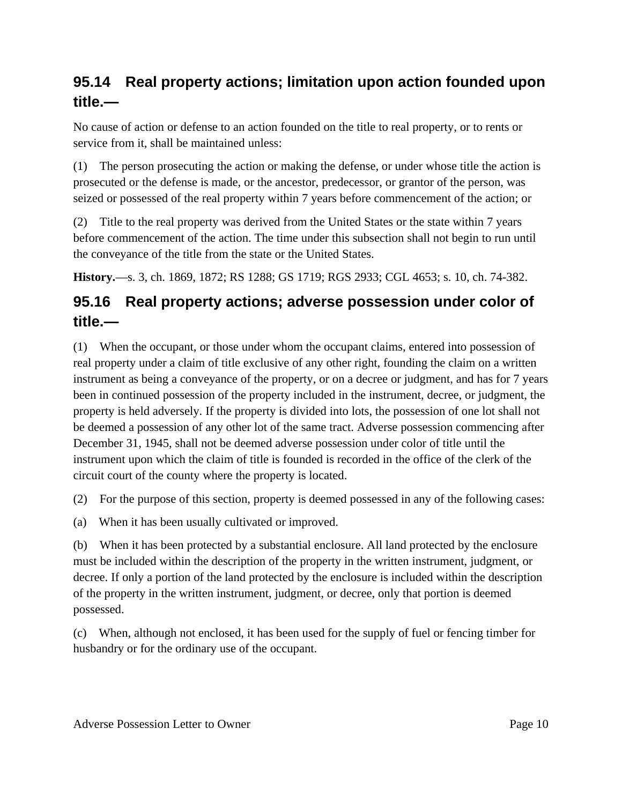# **95.14 Real property actions; limitation upon action founded upon title.—**

No cause of action or defense to an action founded on the title to real property, or to rents or service from it, shall be maintained unless:

(1) The person prosecuting the action or making the defense, or under whose title the action is prosecuted or the defense is made, or the ancestor, predecessor, or grantor of the person, was seized or possessed of the real property within 7 years before commencement of the action; or

(2) Title to the real property was derived from the United States or the state within 7 years before commencement of the action. The time under this subsection shall not begin to run until the conveyance of the title from the state or the United States.

**History.**—s. 3, ch. 1869, 1872; RS 1288; GS 1719; RGS 2933; CGL 4653; s. 10, ch. 74-382.

# **95.16 Real property actions; adverse possession under color of title.—**

(1) When the occupant, or those under whom the occupant claims, entered into possession of real property under a claim of title exclusive of any other right, founding the claim on a written instrument as being a conveyance of the property, or on a decree or judgment, and has for 7 years been in continued possession of the property included in the instrument, decree, or judgment, the property is held adversely. If the property is divided into lots, the possession of one lot shall not be deemed a possession of any other lot of the same tract. Adverse possession commencing after December 31, 1945, shall not be deemed adverse possession under color of title until the instrument upon which the claim of title is founded is recorded in the office of the clerk of the circuit court of the county where the property is located.

(2) For the purpose of this section, property is deemed possessed in any of the following cases:

(a) When it has been usually cultivated or improved.

(b) When it has been protected by a substantial enclosure. All land protected by the enclosure must be included within the description of the property in the written instrument, judgment, or decree. If only a portion of the land protected by the enclosure is included within the description of the property in the written instrument, judgment, or decree, only that portion is deemed possessed.

(c) When, although not enclosed, it has been used for the supply of fuel or fencing timber for husbandry or for the ordinary use of the occupant.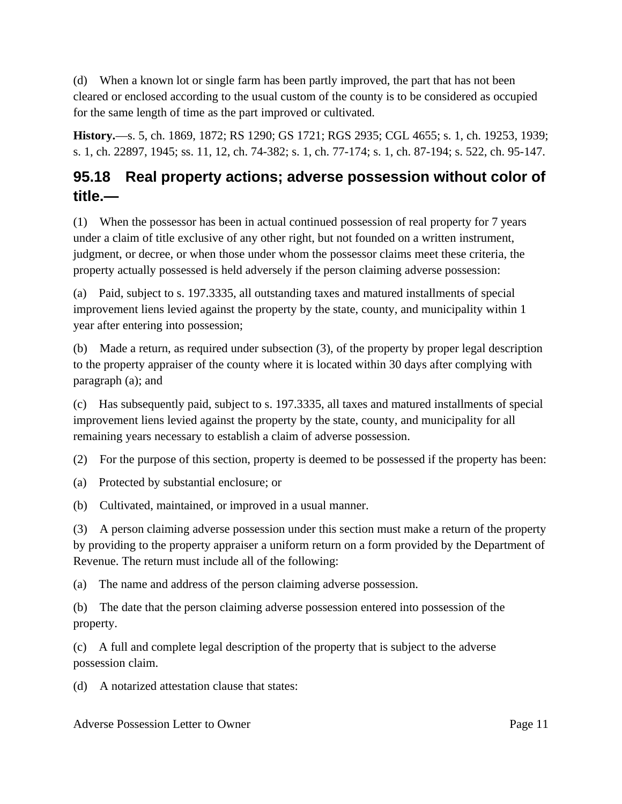(d) When a known lot or single farm has been partly improved, the part that has not been cleared or enclosed according to the usual custom of the county is to be considered as occupied for the same length of time as the part improved or cultivated.

**History.**—s. 5, ch. 1869, 1872; RS 1290; GS 1721; RGS 2935; CGL 4655; s. 1, ch. 19253, 1939; s. 1, ch. 22897, 1945; ss. 11, 12, ch. 74-382; s. 1, ch. 77-174; s. 1, ch. 87-194; s. 522, ch. 95-147.

# **95.18 Real property actions; adverse possession without color of title.—**

(1) When the possessor has been in actual continued possession of real property for 7 years under a claim of title exclusive of any other right, but not founded on a written instrument, judgment, or decree, or when those under whom the possessor claims meet these criteria, the property actually possessed is held adversely if the person claiming adverse possession:

(a) Paid, subject to s. 197.3335, all outstanding taxes and matured installments of special improvement liens levied against the property by the state, county, and municipality within 1 year after entering into possession;

(b) Made a return, as required under subsection (3), of the property by proper legal description to the property appraiser of the county where it is located within 30 days after complying with paragraph (a); and

(c) Has subsequently paid, subject to s. 197.3335, all taxes and matured installments of special improvement liens levied against the property by the state, county, and municipality for all remaining years necessary to establish a claim of adverse possession.

(2) For the purpose of this section, property is deemed to be possessed if the property has been:

(a) Protected by substantial enclosure; or

(b) Cultivated, maintained, or improved in a usual manner.

(3) A person claiming adverse possession under this section must make a return of the property by providing to the property appraiser a uniform return on a form provided by the Department of Revenue. The return must include all of the following:

(a) The name and address of the person claiming adverse possession.

(b) The date that the person claiming adverse possession entered into possession of the property.

(c) A full and complete legal description of the property that is subject to the adverse possession claim.

(d) A notarized attestation clause that states: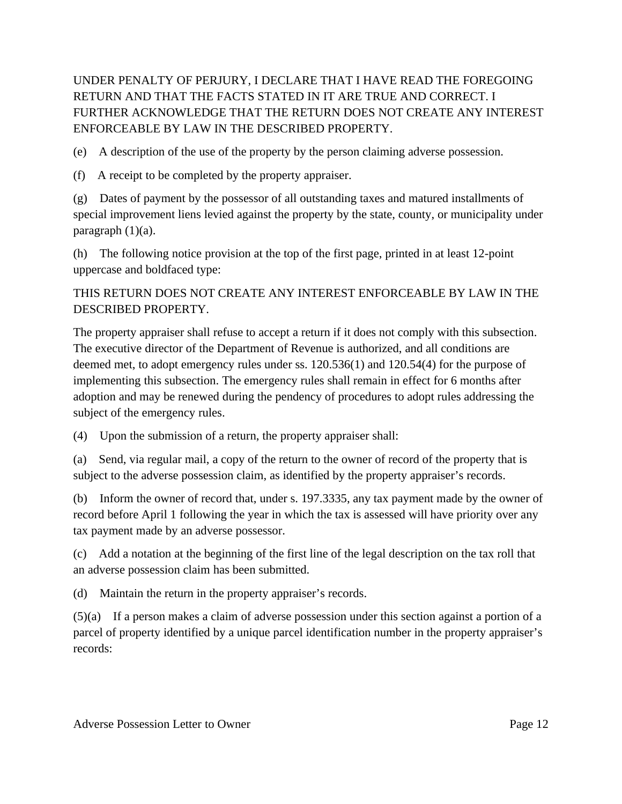UNDER PENALTY OF PERJURY, I DECLARE THAT I HAVE READ THE FOREGOING RETURN AND THAT THE FACTS STATED IN IT ARE TRUE AND CORRECT. I FURTHER ACKNOWLEDGE THAT THE RETURN DOES NOT CREATE ANY INTEREST ENFORCEABLE BY LAW IN THE DESCRIBED PROPERTY.

(e) A description of the use of the property by the person claiming adverse possession.

(f) A receipt to be completed by the property appraiser.

(g) Dates of payment by the possessor of all outstanding taxes and matured installments of special improvement liens levied against the property by the state, county, or municipality under paragraph (1)(a).

(h) The following notice provision at the top of the first page, printed in at least 12-point uppercase and boldfaced type:

#### THIS RETURN DOES NOT CREATE ANY INTEREST ENFORCEABLE BY LAW IN THE DESCRIBED PROPERTY.

The property appraiser shall refuse to accept a return if it does not comply with this subsection. The executive director of the Department of Revenue is authorized, and all conditions are deemed met, to adopt emergency rules under ss. 120.536(1) and 120.54(4) for the purpose of implementing this subsection. The emergency rules shall remain in effect for 6 months after adoption and may be renewed during the pendency of procedures to adopt rules addressing the subject of the emergency rules.

(4) Upon the submission of a return, the property appraiser shall:

(a) Send, via regular mail, a copy of the return to the owner of record of the property that is subject to the adverse possession claim, as identified by the property appraiser's records.

(b) Inform the owner of record that, under s. 197.3335, any tax payment made by the owner of record before April 1 following the year in which the tax is assessed will have priority over any tax payment made by an adverse possessor.

(c) Add a notation at the beginning of the first line of the legal description on the tax roll that an adverse possession claim has been submitted.

(d) Maintain the return in the property appraiser's records.

(5)(a) If a person makes a claim of adverse possession under this section against a portion of a parcel of property identified by a unique parcel identification number in the property appraiser's records: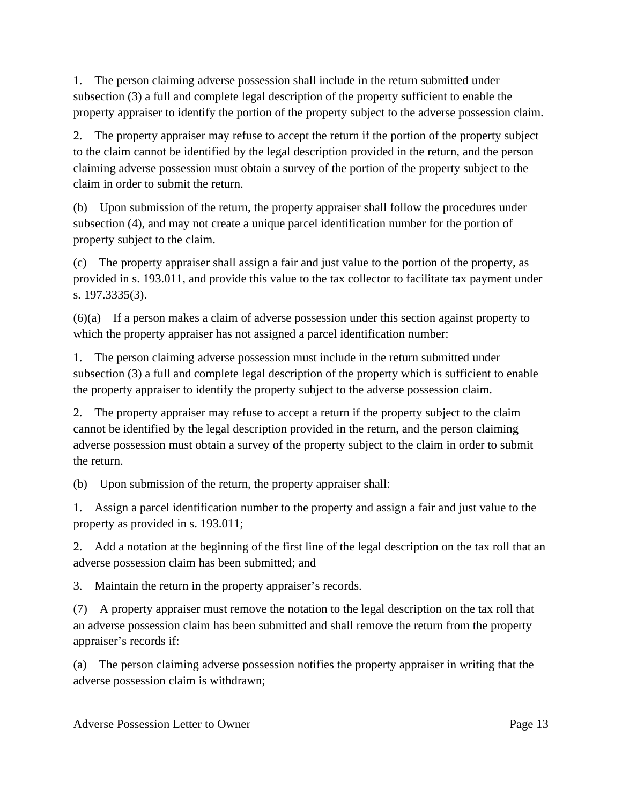1. The person claiming adverse possession shall include in the return submitted under subsection (3) a full and complete legal description of the property sufficient to enable the property appraiser to identify the portion of the property subject to the adverse possession claim.

2. The property appraiser may refuse to accept the return if the portion of the property subject to the claim cannot be identified by the legal description provided in the return, and the person claiming adverse possession must obtain a survey of the portion of the property subject to the claim in order to submit the return.

(b) Upon submission of the return, the property appraiser shall follow the procedures under subsection (4), and may not create a unique parcel identification number for the portion of property subject to the claim.

(c) The property appraiser shall assign a fair and just value to the portion of the property, as provided in s. 193.011, and provide this value to the tax collector to facilitate tax payment under s. 197.3335(3).

(6)(a) If a person makes a claim of adverse possession under this section against property to which the property appraiser has not assigned a parcel identification number:

1. The person claiming adverse possession must include in the return submitted under subsection (3) a full and complete legal description of the property which is sufficient to enable the property appraiser to identify the property subject to the adverse possession claim.

2. The property appraiser may refuse to accept a return if the property subject to the claim cannot be identified by the legal description provided in the return, and the person claiming adverse possession must obtain a survey of the property subject to the claim in order to submit the return.

(b) Upon submission of the return, the property appraiser shall:

1. Assign a parcel identification number to the property and assign a fair and just value to the property as provided in s. 193.011;

2. Add a notation at the beginning of the first line of the legal description on the tax roll that an adverse possession claim has been submitted; and

3. Maintain the return in the property appraiser's records.

(7) A property appraiser must remove the notation to the legal description on the tax roll that an adverse possession claim has been submitted and shall remove the return from the property appraiser's records if:

(a) The person claiming adverse possession notifies the property appraiser in writing that the adverse possession claim is withdrawn;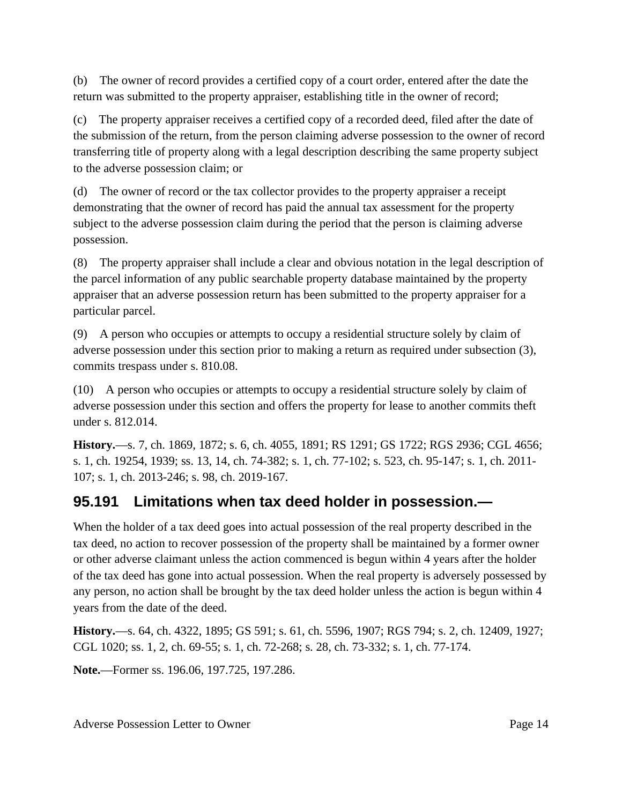(b) The owner of record provides a certified copy of a court order, entered after the date the return was submitted to the property appraiser, establishing title in the owner of record;

(c) The property appraiser receives a certified copy of a recorded deed, filed after the date of the submission of the return, from the person claiming adverse possession to the owner of record transferring title of property along with a legal description describing the same property subject to the adverse possession claim; or

(d) The owner of record or the tax collector provides to the property appraiser a receipt demonstrating that the owner of record has paid the annual tax assessment for the property subject to the adverse possession claim during the period that the person is claiming adverse possession.

(8) The property appraiser shall include a clear and obvious notation in the legal description of the parcel information of any public searchable property database maintained by the property appraiser that an adverse possession return has been submitted to the property appraiser for a particular parcel.

(9) A person who occupies or attempts to occupy a residential structure solely by claim of adverse possession under this section prior to making a return as required under subsection (3), commits trespass under s. 810.08.

(10) A person who occupies or attempts to occupy a residential structure solely by claim of adverse possession under this section and offers the property for lease to another commits theft under s. 812.014.

**History.**—s. 7, ch. 1869, 1872; s. 6, ch. 4055, 1891; RS 1291; GS 1722; RGS 2936; CGL 4656; s. 1, ch. 19254, 1939; ss. 13, 14, ch. 74-382; s. 1, ch. 77-102; s. 523, ch. 95-147; s. 1, ch. 2011- 107; s. 1, ch. 2013-246; s. 98, ch. 2019-167.

## **95.191 Limitations when tax deed holder in possession.—**

When the holder of a tax deed goes into actual possession of the real property described in the tax deed, no action to recover possession of the property shall be maintained by a former owner or other adverse claimant unless the action commenced is begun within 4 years after the holder of the tax deed has gone into actual possession. When the real property is adversely possessed by any person, no action shall be brought by the tax deed holder unless the action is begun within 4 years from the date of the deed.

**History.**—s. 64, ch. 4322, 1895; GS 591; s. 61, ch. 5596, 1907; RGS 794; s. 2, ch. 12409, 1927; CGL 1020; ss. 1, 2, ch. 69-55; s. 1, ch. 72-268; s. 28, ch. 73-332; s. 1, ch. 77-174.

**Note.**—Former ss. 196.06, 197.725, 197.286.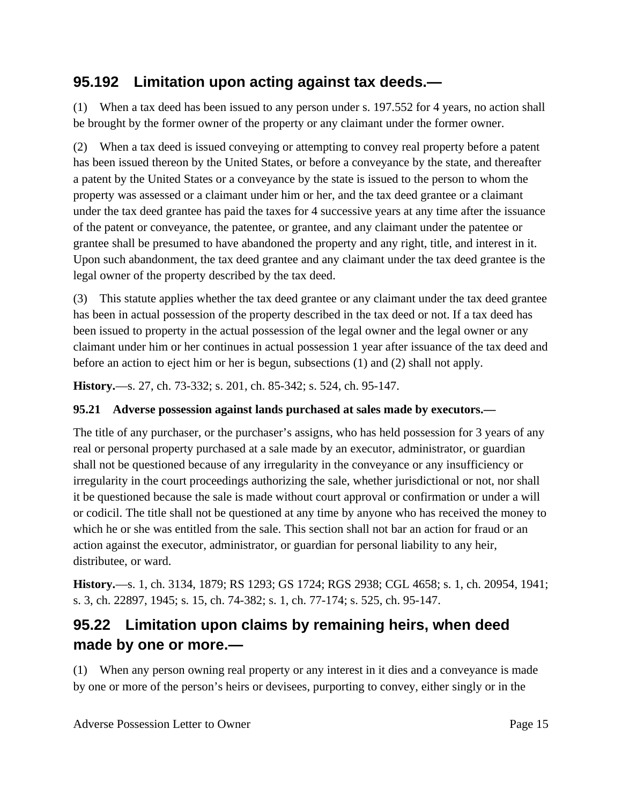### **95.192 Limitation upon acting against tax deeds.—**

(1) When a tax deed has been issued to any person under s. 197.552 for 4 years, no action shall be brought by the former owner of the property or any claimant under the former owner.

(2) When a tax deed is issued conveying or attempting to convey real property before a patent has been issued thereon by the United States, or before a conveyance by the state, and thereafter a patent by the United States or a conveyance by the state is issued to the person to whom the property was assessed or a claimant under him or her, and the tax deed grantee or a claimant under the tax deed grantee has paid the taxes for 4 successive years at any time after the issuance of the patent or conveyance, the patentee, or grantee, and any claimant under the patentee or grantee shall be presumed to have abandoned the property and any right, title, and interest in it. Upon such abandonment, the tax deed grantee and any claimant under the tax deed grantee is the legal owner of the property described by the tax deed.

(3) This statute applies whether the tax deed grantee or any claimant under the tax deed grantee has been in actual possession of the property described in the tax deed or not. If a tax deed has been issued to property in the actual possession of the legal owner and the legal owner or any claimant under him or her continues in actual possession 1 year after issuance of the tax deed and before an action to eject him or her is begun, subsections (1) and (2) shall not apply.

**History.**—s. 27, ch. 73-332; s. 201, ch. 85-342; s. 524, ch. 95-147.

#### **95.21 Adverse possession against lands purchased at sales made by executors.—**

The title of any purchaser, or the purchaser's assigns, who has held possession for 3 years of any real or personal property purchased at a sale made by an executor, administrator, or guardian shall not be questioned because of any irregularity in the conveyance or any insufficiency or irregularity in the court proceedings authorizing the sale, whether jurisdictional or not, nor shall it be questioned because the sale is made without court approval or confirmation or under a will or codicil. The title shall not be questioned at any time by anyone who has received the money to which he or she was entitled from the sale. This section shall not bar an action for fraud or an action against the executor, administrator, or guardian for personal liability to any heir, distributee, or ward.

**History.**—s. 1, ch. 3134, 1879; RS 1293; GS 1724; RGS 2938; CGL 4658; s. 1, ch. 20954, 1941; s. 3, ch. 22897, 1945; s. 15, ch. 74-382; s. 1, ch. 77-174; s. 525, ch. 95-147.

# **95.22 Limitation upon claims by remaining heirs, when deed made by one or more.—**

(1) When any person owning real property or any interest in it dies and a conveyance is made by one or more of the person's heirs or devisees, purporting to convey, either singly or in the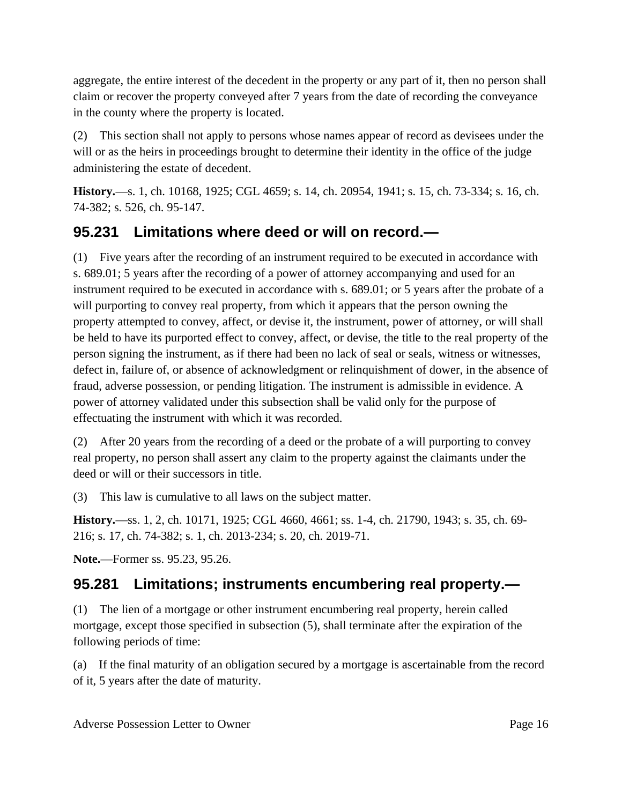aggregate, the entire interest of the decedent in the property or any part of it, then no person shall claim or recover the property conveyed after 7 years from the date of recording the conveyance in the county where the property is located.

(2) This section shall not apply to persons whose names appear of record as devisees under the will or as the heirs in proceedings brought to determine their identity in the office of the judge administering the estate of decedent.

**History.**—s. 1, ch. 10168, 1925; CGL 4659; s. 14, ch. 20954, 1941; s. 15, ch. 73-334; s. 16, ch. 74-382; s. 526, ch. 95-147.

## **95.231 Limitations where deed or will on record.—**

(1) Five years after the recording of an instrument required to be executed in accordance with s. 689.01; 5 years after the recording of a power of attorney accompanying and used for an instrument required to be executed in accordance with s. 689.01; or 5 years after the probate of a will purporting to convey real property, from which it appears that the person owning the property attempted to convey, affect, or devise it, the instrument, power of attorney, or will shall be held to have its purported effect to convey, affect, or devise, the title to the real property of the person signing the instrument, as if there had been no lack of seal or seals, witness or witnesses, defect in, failure of, or absence of acknowledgment or relinquishment of dower, in the absence of fraud, adverse possession, or pending litigation. The instrument is admissible in evidence. A power of attorney validated under this subsection shall be valid only for the purpose of effectuating the instrument with which it was recorded.

(2) After 20 years from the recording of a deed or the probate of a will purporting to convey real property, no person shall assert any claim to the property against the claimants under the deed or will or their successors in title.

(3) This law is cumulative to all laws on the subject matter.

**History.**—ss. 1, 2, ch. 10171, 1925; CGL 4660, 4661; ss. 1-4, ch. 21790, 1943; s. 35, ch. 69- 216; s. 17, ch. 74-382; s. 1, ch. 2013-234; s. 20, ch. 2019-71.

**Note.**—Former ss. 95.23, 95.26.

# **95.281 Limitations; instruments encumbering real property.—**

(1) The lien of a mortgage or other instrument encumbering real property, herein called mortgage, except those specified in subsection (5), shall terminate after the expiration of the following periods of time:

(a) If the final maturity of an obligation secured by a mortgage is ascertainable from the record of it, 5 years after the date of maturity.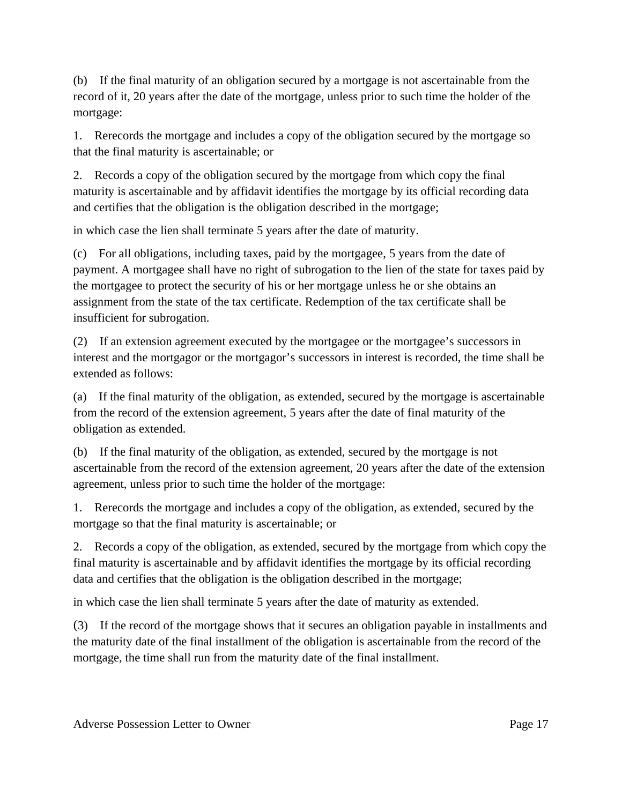(b) If the final maturity of an obligation secured by a mortgage is not ascertainable from the record of it, 20 years after the date of the mortgage, unless prior to such time the holder of the mortgage:

1. Rerecords the mortgage and includes a copy of the obligation secured by the mortgage so that the final maturity is ascertainable; or

2. Records a copy of the obligation secured by the mortgage from which copy the final maturity is ascertainable and by affidavit identifies the mortgage by its official recording data and certifies that the obligation is the obligation described in the mortgage;

in which case the lien shall terminate 5 years after the date of maturity.

(c) For all obligations, including taxes, paid by the mortgagee, 5 years from the date of payment. A mortgagee shall have no right of subrogation to the lien of the state for taxes paid by the mortgagee to protect the security of his or her mortgage unless he or she obtains an assignment from the state of the tax certificate. Redemption of the tax certificate shall be insufficient for subrogation.

(2) If an extension agreement executed by the mortgagee or the mortgagee's successors in interest and the mortgagor or the mortgagor's successors in interest is recorded, the time shall be extended as follows:

(a) If the final maturity of the obligation, as extended, secured by the mortgage is ascertainable from the record of the extension agreement, 5 years after the date of final maturity of the obligation as extended.

(b) If the final maturity of the obligation, as extended, secured by the mortgage is not ascertainable from the record of the extension agreement, 20 years after the date of the extension agreement, unless prior to such time the holder of the mortgage:

1. Rerecords the mortgage and includes a copy of the obligation, as extended, secured by the mortgage so that the final maturity is ascertainable; or

2. Records a copy of the obligation, as extended, secured by the mortgage from which copy the final maturity is ascertainable and by affidavit identifies the mortgage by its official recording data and certifies that the obligation is the obligation described in the mortgage;

in which case the lien shall terminate 5 years after the date of maturity as extended.

(3) If the record of the mortgage shows that it secures an obligation payable in installments and the maturity date of the final installment of the obligation is ascertainable from the record of the mortgage, the time shall run from the maturity date of the final installment.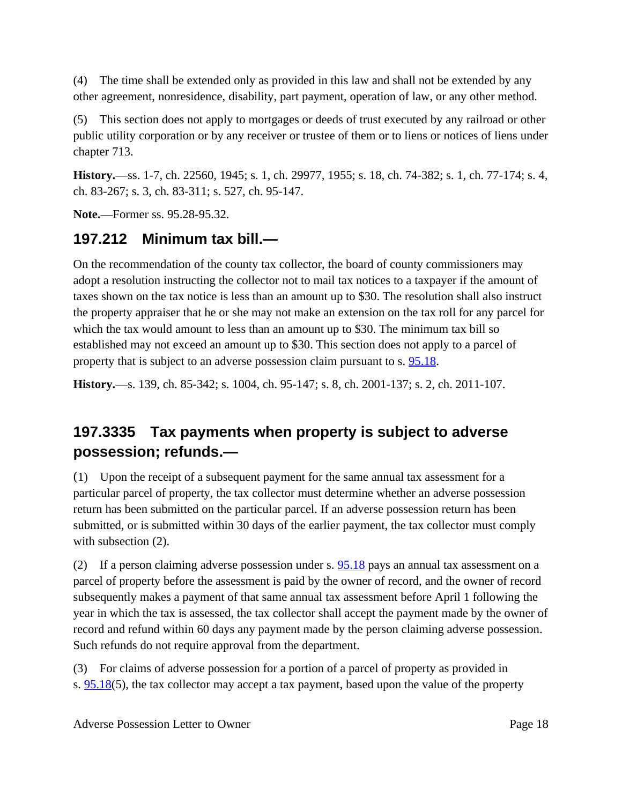(4) The time shall be extended only as provided in this law and shall not be extended by any other agreement, nonresidence, disability, part payment, operation of law, or any other method.

(5) This section does not apply to mortgages or deeds of trust executed by any railroad or other public utility corporation or by any receiver or trustee of them or to liens or notices of liens under chapter 713.

**History.**—ss. 1-7, ch. 22560, 1945; s. 1, ch. 29977, 1955; s. 18, ch. 74-382; s. 1, ch. 77-174; s. 4, ch. 83-267; s. 3, ch. 83-311; s. 527, ch. 95-147.

**Note.**—Former ss. 95.28-95.32.

### **197.212 Minimum tax bill.—**

On the recommendation of the county tax collector, the board of county commissioners may adopt a resolution instructing the collector not to mail tax notices to a taxpayer if the amount of taxes shown on the tax notice is less than an amount up to \$30. The resolution shall also instruct the property appraiser that he or she may not make an extension on the tax roll for any parcel for which the tax would amount to less than an amount up to \$30. The minimum tax bill so established may not exceed an amount up to \$30. This section does not apply to a parcel of property that is subject to an adverse possession claim pursuant to s. [95.18](http://leg.state.fl.us/statutes/index.cfm?App_mode=Display_Statute&Search_String=adverse%20possession&URL=0000-0099/0095/Sections/0095.18.html).

**History.**—s. 139, ch. 85-342; s. 1004, ch. 95-147; s. 8, ch. 2001-137; s. 2, ch. 2011-107.

# **197.3335 Tax payments when property is subject to adverse possession; refunds.—**

(1) Upon the receipt of a subsequent payment for the same annual tax assessment for a particular parcel of property, the tax collector must determine whether an adverse possession return has been submitted on the particular parcel. If an adverse possession return has been submitted, or is submitted within 30 days of the earlier payment, the tax collector must comply with subsection (2).

(2) If a person claiming adverse possession under s. [95.18](http://leg.state.fl.us/statutes/index.cfm?App_mode=Display_Statute&Search_String=adverse%20possession&URL=0000-0099/0095/Sections/0095.18.html) pays an annual tax assessment on a parcel of property before the assessment is paid by the owner of record, and the owner of record subsequently makes a payment of that same annual tax assessment before April 1 following the year in which the tax is assessed, the tax collector shall accept the payment made by the owner of record and refund within 60 days any payment made by the person claiming adverse possession. Such refunds do not require approval from the department.

(3) For claims of adverse possession for a portion of a parcel of property as provided in s.  $95.18(5)$  $95.18(5)$ , the tax collector may accept a tax payment, based upon the value of the property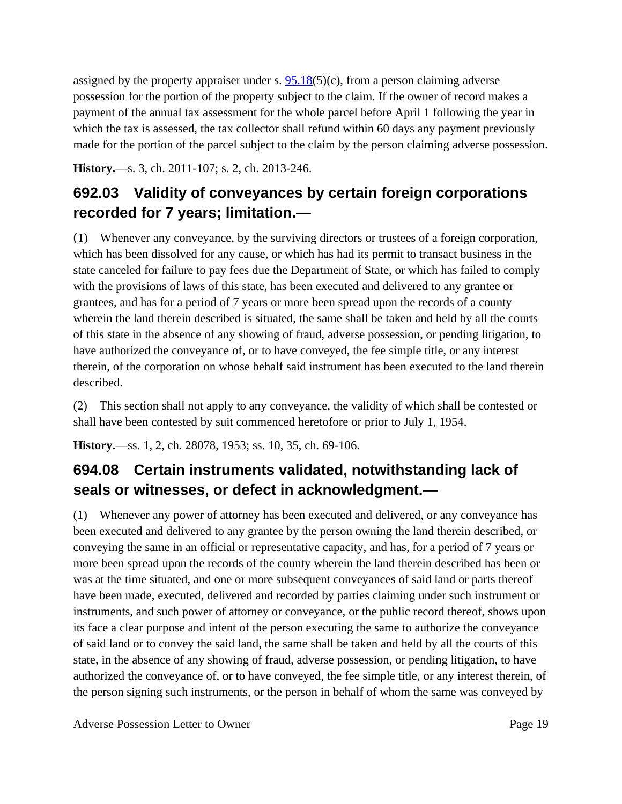assigned by the property appraiser under s.  $95.18(5)(c)$  $95.18(5)(c)$ , from a person claiming adverse possession for the portion of the property subject to the claim. If the owner of record makes a payment of the annual tax assessment for the whole parcel before April 1 following the year in which the tax is assessed, the tax collector shall refund within 60 days any payment previously made for the portion of the parcel subject to the claim by the person claiming adverse possession.

**History.**—s. 3, ch. 2011-107; s. 2, ch. 2013-246.

# **692.03 Validity of conveyances by certain foreign corporations recorded for 7 years; limitation.—**

(1) Whenever any conveyance, by the surviving directors or trustees of a foreign corporation, which has been dissolved for any cause, or which has had its permit to transact business in the state canceled for failure to pay fees due the Department of State, or which has failed to comply with the provisions of laws of this state, has been executed and delivered to any grantee or grantees, and has for a period of 7 years or more been spread upon the records of a county wherein the land therein described is situated, the same shall be taken and held by all the courts of this state in the absence of any showing of fraud, adverse possession, or pending litigation, to have authorized the conveyance of, or to have conveyed, the fee simple title, or any interest therein, of the corporation on whose behalf said instrument has been executed to the land therein described.

(2) This section shall not apply to any conveyance, the validity of which shall be contested or shall have been contested by suit commenced heretofore or prior to July 1, 1954.

**History.**—ss. 1, 2, ch. 28078, 1953; ss. 10, 35, ch. 69-106.

# **694.08 Certain instruments validated, notwithstanding lack of seals or witnesses, or defect in acknowledgment.—**

(1) Whenever any power of attorney has been executed and delivered, or any conveyance has been executed and delivered to any grantee by the person owning the land therein described, or conveying the same in an official or representative capacity, and has, for a period of 7 years or more been spread upon the records of the county wherein the land therein described has been or was at the time situated, and one or more subsequent conveyances of said land or parts thereof have been made, executed, delivered and recorded by parties claiming under such instrument or instruments, and such power of attorney or conveyance, or the public record thereof, shows upon its face a clear purpose and intent of the person executing the same to authorize the conveyance of said land or to convey the said land, the same shall be taken and held by all the courts of this state, in the absence of any showing of fraud, adverse possession, or pending litigation, to have authorized the conveyance of, or to have conveyed, the fee simple title, or any interest therein, of the person signing such instruments, or the person in behalf of whom the same was conveyed by

Adverse Possession Letter to Owner **Page 19** Page 19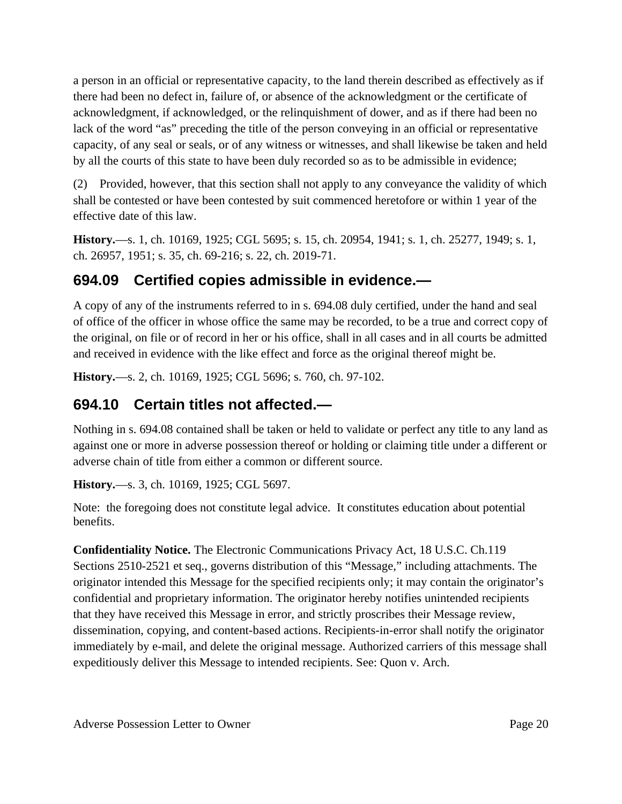a person in an official or representative capacity, to the land therein described as effectively as if there had been no defect in, failure of, or absence of the acknowledgment or the certificate of acknowledgment, if acknowledged, or the relinquishment of dower, and as if there had been no lack of the word "as" preceding the title of the person conveying in an official or representative capacity, of any seal or seals, or of any witness or witnesses, and shall likewise be taken and held by all the courts of this state to have been duly recorded so as to be admissible in evidence;

(2) Provided, however, that this section shall not apply to any conveyance the validity of which shall be contested or have been contested by suit commenced heretofore or within 1 year of the effective date of this law.

**History.**—s. 1, ch. 10169, 1925; CGL 5695; s. 15, ch. 20954, 1941; s. 1, ch. 25277, 1949; s. 1, ch. 26957, 1951; s. 35, ch. 69-216; s. 22, ch. 2019-71.

# **694.09 Certified copies admissible in evidence.—**

A copy of any of the instruments referred to in s. 694.08 duly certified, under the hand and seal of office of the officer in whose office the same may be recorded, to be a true and correct copy of the original, on file or of record in her or his office, shall in all cases and in all courts be admitted and received in evidence with the like effect and force as the original thereof might be.

**History.**—s. 2, ch. 10169, 1925; CGL 5696; s. 760, ch. 97-102.

### **694.10 Certain titles not affected.—**

Nothing in s. 694.08 contained shall be taken or held to validate or perfect any title to any land as against one or more in adverse possession thereof or holding or claiming title under a different or adverse chain of title from either a common or different source.

**History.**—s. 3, ch. 10169, 1925; CGL 5697.

Note: the foregoing does not constitute legal advice. It constitutes education about potential benefits.

**Confidentiality Notice.** The Electronic Communications Privacy Act, 18 U.S.C. Ch.119 Sections 2510-2521 et seq., governs distribution of this "Message," including attachments. The originator intended this Message for the specified recipients only; it may contain the originator's confidential and proprietary information. The originator hereby notifies unintended recipients that they have received this Message in error, and strictly proscribes their Message review, dissemination, copying, and content-based actions. Recipients-in-error shall notify the originator immediately by e-mail, and delete the original message. Authorized carriers of this message shall expeditiously deliver this Message to intended recipients. See: Quon v. Arch.